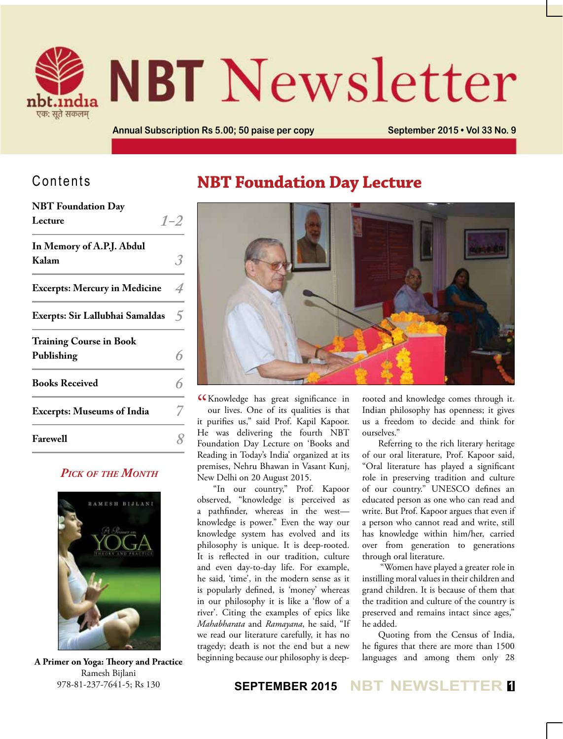

# **NBT** Newsletter

**Annual Subscription Rs 5.00; 50 paise per copy <b>September 2015 • Vol 33 No. 9** 

### Contents

| <b>NBT</b> Foundation Day            |                |
|--------------------------------------|----------------|
| Lecture                              | $1 - 2$        |
| In Memory of A.P.J. Abdul            |                |
| Kalam                                |                |
| <b>Excerpts: Mercury in Medicine</b> | 4              |
| Exerpts: Sir Lallubhai Samaldas      | $\overline{2}$ |
| <b>Training Course in Book</b>       |                |
| Publishing                           |                |
| <b>Books Received</b>                |                |
| <b>Excerpts: Museums of India</b>    |                |
| <b>Farewell</b>                      |                |

#### *Pick of the Month*



Ramesh Bijlani 978-81-237-7641-5; Rs 130

## **NBT Foundation Day Lecture**



CCK nowledge has great significance in<br>
our lives. One of its qualities is that our lives. One of its qualities is that it purifies us," said Prof. Kapil Kapoor. He was delivering the fourth NBT Foundation Day Lecture on 'Books and Reading in Today's India' organized at its premises, Nehru Bhawan in Vasant Kunj, New Delhi on 20 August 2015.

"In our country," Prof. Kapoor observed, "knowledge is perceived as a pathfinder, whereas in the west knowledge is power." Even the way our knowledge system has evolved and its philosophy is unique. It is deep-rooted. It is reflected in our tradition, culture and even day-to-day life. For example, he said, 'time', in the modern sense as it is popularly defined, is 'money' whereas in our philosophy it is like a 'flow of a river'. Citing the examples of epics like *Mahabharata* and *Ramayana*, he said, "If we read our literature carefully, it has no tragedy; death is not the end but a new beginning because our philosophy is deep- **A Primer on Yoga: Theory and Practice**

rooted and knowledge comes through it. Indian philosophy has openness; it gives us a freedom to decide and think for ourselves."

Referring to the rich literary heritage of our oral literature, Prof. Kapoor said, "Oral literature has played a significant role in preserving tradition and culture of our country." UNESCO defines an educated person as one who can read and write. But Prof. Kapoor argues that even if a person who cannot read and write, still has knowledge within him/her, carried over from generation to generations through oral literature.

 "Women have played a greater role in instilling moral values in their children and grand children. It is because of them that the tradition and culture of the country is preserved and remains intact since ages," he added.

Quoting from the Census of India, he figures that there are more than 1500 languages and among them only 28

#### **SEPTEMBER 2015 NBT NEWSLETTER <sup>1</sup>**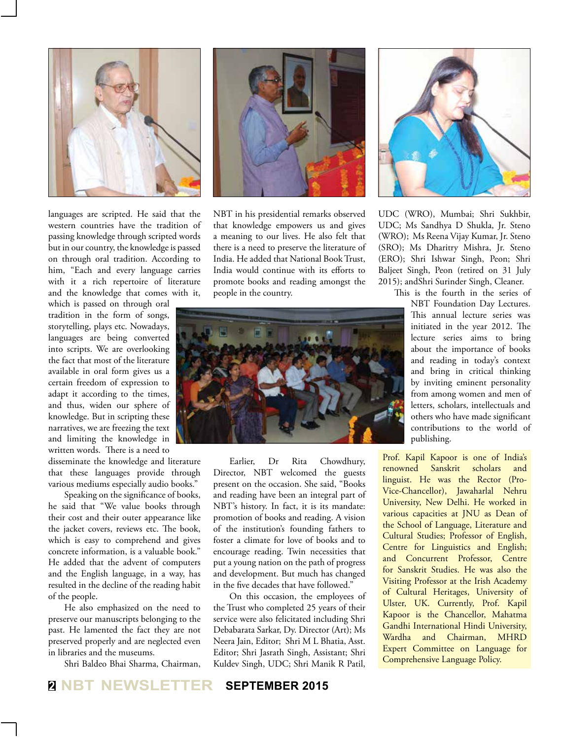

languages are scripted. He said that the western countries have the tradition of passing knowledge through scripted words but in our country, the knowledge is passed on through oral tradition. According to him, "Each and every language carries with it a rich repertoire of literature and the knowledge that comes with it,

which is passed on through oral tradition in the form of songs, storytelling, plays etc. Nowadays, languages are being converted into scripts. We are overlooking the fact that most of the literature available in oral form gives us a certain freedom of expression to adapt it according to the times, and thus, widen our sphere of knowledge. But in scripting these narratives, we are freezing the text and limiting the knowledge in written words. There is a need to

disseminate the knowledge and literature that these languages provide through various mediums especially audio books."

Speaking on the significance of books, he said that "We value books through their cost and their outer appearance like the jacket covers, reviews etc. The book, which is easy to comprehend and gives concrete information, is a valuable book." He added that the advent of computers and the English language, in a way, has resulted in the decline of the reading habit of the people.

He also emphasized on the need to preserve our manuscripts belonging to the past. He lamented the fact they are not preserved properly and are neglected even in libraries and the museums.

Shri Baldeo Bhai Sharma, Chairman,



NBT in his presidential remarks observed that knowledge empowers us and gives a meaning to our lives. He also felt that there is a need to preserve the literature of India. He added that National Book Trust, India would continue with its efforts to promote books and reading amongst the people in the country.



Earlier, Dr Rita Chowdhury, Director, NBT welcomed the guests present on the occasion. She said, "Books and reading have been an integral part of NBT's history. In fact, it is its mandate: promotion of books and reading. A vision of the institution's founding fathers to foster a climate for love of books and to encourage reading. Twin necessities that put a young nation on the path of progress and development. But much has changed in the five decades that have followed."

On this occasion, the employees of the Trust who completed 25 years of their service were also felicitated including Shri Debabarata Sarkar, Dy. Director (Art); Ms Neera Jain, Editor; Shri M L Bhatia, Asst. Editor; Shri Jasrath Singh, Assistant; Shri Kuldev Singh, UDC; Shri Manik R Patil,



UDC (WRO), Mumbai; Shri Sukhbir, UDC; Ms Sandhya D Shukla, Jr. Steno (WRO); Ms Reena Vijay Kumar, Jr. Steno (SRO); Ms Dharitry Mishra, Jr. Steno (ERO); Shri Ishwar Singh, Peon; Shri Baljeet Singh, Peon (retired on 31 July 2015); andShri Surinder Singh, Cleaner.

This is the fourth in the series of

NBT Foundation Day Lectures. This annual lecture series was initiated in the year 2012. The lecture series aims to bring about the importance of books and reading in today's context and bring in critical thinking by inviting eminent personality from among women and men of letters, scholars, intellectuals and others who have made significant contributions to the world of publishing.

Prof. Kapil Kapoor is one of India's renowned Sanskrit scholars and linguist. He was the Rector (Pro-Vice-Chancellor), Jawaharlal Nehru University, New Delhi. He worked in various capacities at JNU as Dean of the School of Language, Literature and Cultural Studies; Professor of English, Centre for Linguistics and English; and Concurrent Professor, Centre for Sanskrit Studies. He was also the Visiting Professor at the Irish Academy of Cultural Heritages, University of Ulster, UK. Currently, Prof. Kapil Kapoor is the Chancellor, Mahatma Gandhi International Hindi University, Wardha and Chairman, MHRD Expert Committee on Language for Comprehensive Language Policy.

#### **<sup>2</sup> NBT NEWSLETTER SEPTEMBER 2015**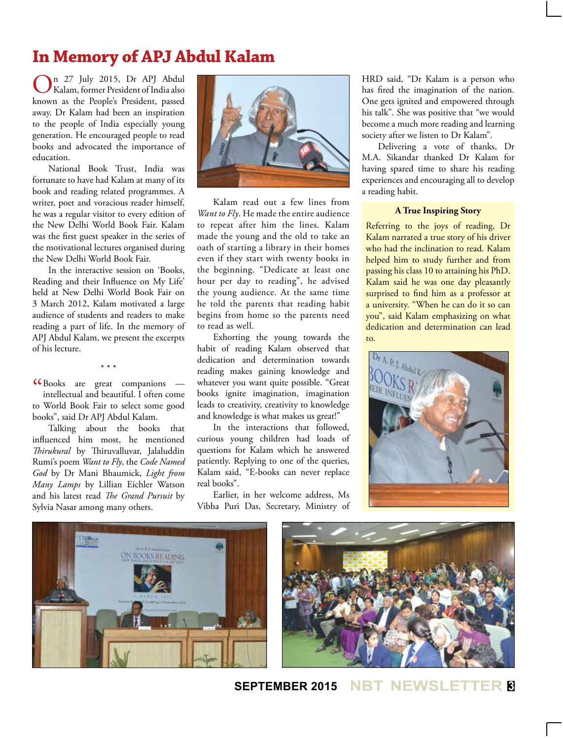## **In Memory of APJ Abdul Kalam**

On 27 July 2015, Dr APJ Abdul Kalam, former President of India also known as the People's President, passed away. Dr Kalam had been an inspiration to the people of India especially young generation. He encouraged people to read books and advocated the importance of education.

National Book Trust, India was fortunate to have had Kalam at many of its book and reading related programmes. A writer, poet and voracious reader himself, he was a regular visitor to every edition of the New Delhi World Book Fair. Kalam was the first guest speaker in the series of the motivational lectures organised during the New Delhi World Book Fair.

In the interactive session on 'Books, Reading and their Influence on My Life' held at New Delhi World Book Fair on 3 March 2012, Kalam motivated a large audience of students and readers to make reading a part of life. In the memory of APJ Abdul Kalam, we present the excerpts of his lecture.

\* \* \*

 $\epsilon$  (Books are great companions —<br>intellectual and beautiful. I often come intellectual and beautiful. I often come to World Book Fair to select some good books", said Dr APJ Abdul Kalam.

Talking about the books that influenced him most, he mentioned *Thirukural* by Thiruvalluvar, Jalaluddin Rumi's poem *Want to Fly*, the *Code Named God* by Dr Mani Bhaumick, *Light from Many Lamps* by Lillian Eichler Watson and his latest read *The Grand Pursuit* by Sylvia Nasar among many others.



Kalam read out a few lines from *Want to Fly*. He made the entire audience to repeat after him the lines. Kalam made the young and the old to take an oath of starting a library in their homes even if they start with twenty books in the beginning. "Dedicate at least one hour per day to reading", he advised the young audience. At the same time he told the parents that reading habit begins from home so the parents need to read as well.

Exhorting the young towards the habit of reading Kalam observed that dedication and determination towards reading makes gaining knowledge and whatever you want quite possible. "Great books ignite imagination, imagination leads to creativity, creativity to knowledge and knowledge is what makes us great!"

In the interactions that followed, curious young children had loads of questions for Kalam which he answered patiently. Replying to one of the queries, Kalam said, "E-books can never replace real books".

Earlier, in her welcome address, Ms Vibha Puri Das, Secretary, Ministry of HRD said, "Dr Kalam is a person who has fired the imagination of the nation. One gets ignited and empowered through his talk". She was positive that "we would become a much more reading and learning society after we listen to Dr Kalam".

Delivering a vote of thanks, Dr M.A. Sikandar thanked Dr Kalam for having spared time to share his reading experiences and encouraging all to develop a reading habit.

#### **A True Inspiring Story**

Referring to the joys of reading, Dr Kalam narrated a true story of his driver who had the inclination to read. Kalam helped him to study further and from passing his class 10 to attaining his PhD. Kalam said he was one day pleasantly surprised to find him as a professor at a university. "When he can do it so can you", said Kalam emphasizing on what dedication and determination can lead to.





**SEPTEMBER 2015 NBT NEWSLETTER <sup>3</sup>**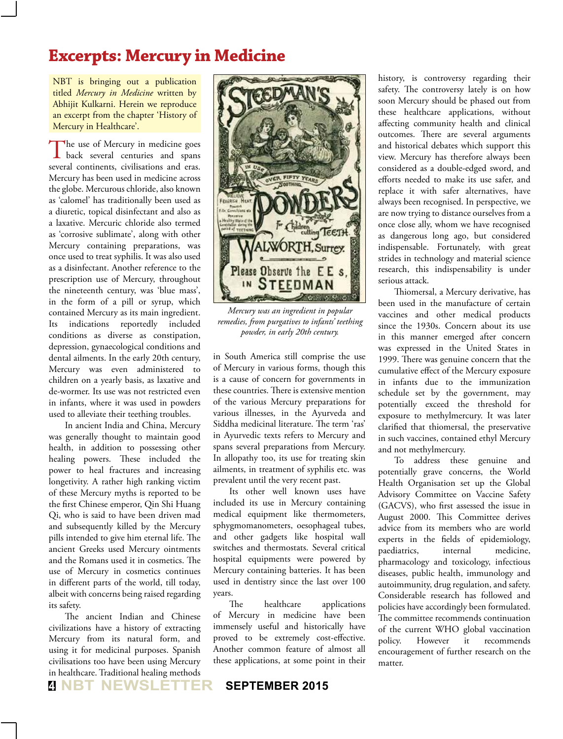## **Excerpts: Mercury in Medicine**

NBT is bringing out a publication titled *Mercury in Medicine* written by Abhijit Kulkarni. Herein we reproduce an excerpt from the chapter 'History of Mercury in Healthcare'.

The use of Mercury in medicine goes back several centuries and spans several continents, civilisations and eras. Mercury has been used in medicine across the globe. Mercurous chloride, also known as 'calomel' has traditionally been used as a diuretic, topical disinfectant and also as a laxative. Mercuric chloride also termed as 'corrosive sublimate', along with other Mercury containing preparations, was once used to treat syphilis. It was also used as a disinfectant. Another reference to the prescription use of Mercury, throughout the nineteenth century, was 'blue mass', in the form of a pill or syrup, which contained Mercury as its main ingredient. Its indications reportedly included conditions as diverse as constipation, depression, gynaecological conditions and dental ailments. In the early 20th century, Mercury was even administered to children on a yearly basis, as laxative and de-wormer. Its use was not restricted even in infants, where it was used in powders used to alleviate their teething troubles.

In ancient India and China, Mercury was generally thought to maintain good health, in addition to possessing other healing powers. These included the power to heal fractures and increasing longetivity. A rather high ranking victim of these Mercury myths is reported to be the first Chinese emperor, Qin Shi Huang Qi, who is said to have been driven mad and subsequently killed by the Mercury pills intended to give him eternal life. The ancient Greeks used Mercury ointments and the Romans used it in cosmetics. The use of Mercury in cosmetics continues in different parts of the world, till today, albeit with concerns being raised regarding its safety.

The ancient Indian and Chinese civilizations have a history of extracting Mercury from its natural form, and using it for medicinal purposes. Spanish civilisations too have been using Mercury in healthcare. Traditional healing methods



*Mercury was an ingredient in popular remedies, from purgatives to infants' teething powder, in early 20th century.*

in South America still comprise the use of Mercury in various forms, though this is a cause of concern for governments in these countries. There is extensive mention of the various Mercury preparations for various illnesses, in the Ayurveda and Siddha medicinal literature. The term 'ras' in Ayurvedic texts refers to Mercury and spans several preparations from Mercury. In allopathy too, its use for treating skin ailments, in treatment of syphilis etc. was prevalent until the very recent past.

Its other well known uses have included its use in Mercury containing medical equipment like thermometers, sphygmomanometers, oesophageal tubes, and other gadgets like hospital wall switches and thermostats. Several critical hospital equipments were powered by Mercury containing batteries. It has been used in dentistry since the last over 100 years.

The healthcare applications of Mercury in medicine have been immensely useful and historically have proved to be extremely cost-effective. Another common feature of almost all these applications, at some point in their

**<sup>4</sup> NBT NEWSLETTER SEPTEMBER 2015**

history, is controversy regarding their safety. The controversy lately is on how soon Mercury should be phased out from these healthcare applications, without affecting community health and clinical outcomes. There are several arguments and historical debates which support this view. Mercury has therefore always been considered as a double-edged sword, and efforts needed to make its use safer, and replace it with safer alternatives, have always been recognised. In perspective, we are now trying to distance ourselves from a once close ally, whom we have recognised as dangerous long ago, but considered indispensable. Fortunately, with great strides in technology and material science research, this indispensability is under serious attack.

Thiomersal, a Mercury derivative, has been used in the manufacture of certain vaccines and other medical products since the 1930s. Concern about its use in this manner emerged after concern was expressed in the United States in 1999. There was genuine concern that the cumulative effect of the Mercury exposure in infants due to the immunization schedule set by the government, may potentially exceed the threshold for exposure to methylmercury. It was later clarified that thiomersal, the preservative in such vaccines, contained ethyl Mercury and not methylmercury.

To address these genuine and potentially grave concerns, the World Health Organisation set up the Global Advisory Committee on Vaccine Safety (GACVS), who first assessed the issue in August 2000. This Committee derives advice from its members who are world experts in the fields of epidemiology, paediatrics, internal medicine, pharmacology and toxicology, infectious diseases, public health, immunology and autoimmunity, drug regulation, and safety. Considerable research has followed and policies have accordingly been formulated. The committee recommends continuation of the current WHO global vaccination policy. However it recommends encouragement of further research on the matter.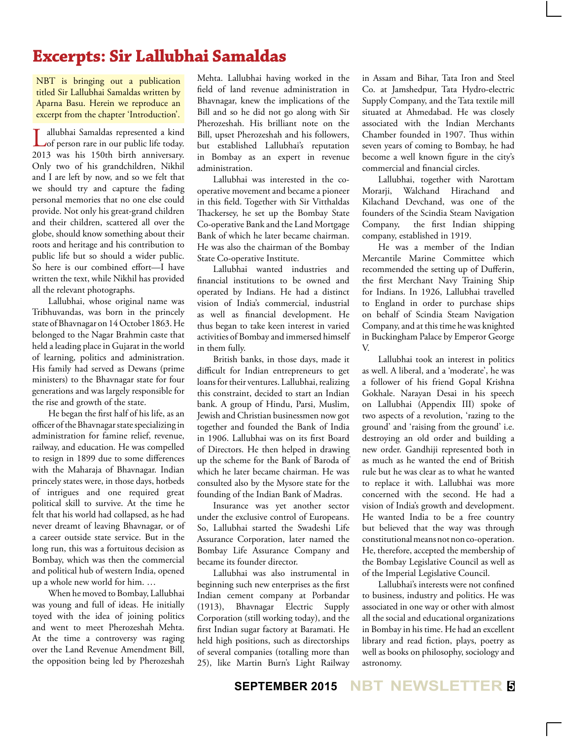## **Excerpts: Sir Lallubhai Samaldas**

NBT is bringing out a publication titled Sir Lallubhai Samaldas written by Aparna Basu. Herein we reproduce an excerpt from the chapter 'Introduction'.

Lallubhai Samaldas represented a kind of person rare in our public life today. 2013 was his 150th birth anniversary. Only two of his grandchildren, Nikhil and I are left by now, and so we felt that we should try and capture the fading personal memories that no one else could provide. Not only his great-grand children and their children, scattered all over the globe, should know something about their roots and heritage and his contribution to public life but so should a wider public. So here is our combined effort—I have written the text, while Nikhil has provided all the relevant photographs.

Lallubhai, whose original name was Tribhuvandas, was born in the princely state of Bhavnagar on 14 October 1863. He belonged to the Nagar Brahmin caste that held a leading place in Gujarat in the world of learning, politics and administration. His family had served as Dewans (prime ministers) to the Bhavnagar state for four generations and was largely responsible for the rise and growth of the state.

He began the first half of his life, as an officer of the Bhavnagar state specializing in administration for famine relief, revenue, railway, and education. He was compelled to resign in 1899 due to some differences with the Maharaja of Bhavnagar. Indian princely states were, in those days, hotbeds of intrigues and one required great political skill to survive. At the time he felt that his world had collapsed, as he had never dreamt of leaving Bhavnagar, or of a career outside state service. But in the long run, this was a fortuitous decision as Bombay, which was then the commercial and political hub of western India, opened up a whole new world for him. …

When he moved to Bombay, Lallubhai was young and full of ideas. He initially toyed with the idea of joining politics and went to meet Pherozeshah Mehta. At the time a controversy was raging over the Land Revenue Amendment Bill, the opposition being led by Pherozeshah Mehta. Lallubhai having worked in the field of land revenue administration in Bhavnagar, knew the implications of the Bill and so he did not go along with Sir Pherozeshah. His brilliant note on the Bill, upset Pherozeshah and his followers, but established Lallubhai's reputation in Bombay as an expert in revenue administration.

Lallubhai was interested in the cooperative movement and became a pioneer in this field. Together with Sir Vitthaldas Thackersey, he set up the Bombay State Co-operative Bank and the Land Mortgage Bank of which he later became chairman. He was also the chairman of the Bombay State Co-operative Institute.

Lallubhai wanted industries and financial institutions to be owned and operated by Indians. He had a distinct vision of India's commercial, industrial as well as financial development. He thus began to take keen interest in varied activities of Bombay and immersed himself in them fully.

British banks, in those days, made it difficult for Indian entrepreneurs to get loans for their ventures. Lallubhai, realizing this constraint, decided to start an Indian bank. A group of Hindu, Parsi, Muslim, Jewish and Christian businessmen now got together and founded the Bank of India in 1906. Lallubhai was on its first Board of Directors. He then helped in drawing up the scheme for the Bank of Baroda of which he later became chairman. He was consulted also by the Mysore state for the founding of the Indian Bank of Madras.

Insurance was yet another sector under the exclusive control of Europeans. So, Lallubhai started the Swadeshi Life Assurance Corporation, later named the Bombay Life Assurance Company and became its founder director.

Lallubhai was also instrumental in beginning such new enterprises as the first Indian cement company at Porbandar (1913), Bhavnagar Electric Supply Corporation (still working today), and the first Indian sugar factory at Baramati. He held high positions, such as directorships of several companies (totalling more than 25), like Martin Burn's Light Railway

in Assam and Bihar, Tata Iron and Steel Co. at Jamshedpur, Tata Hydro-electric Supply Company, and the Tata textile mill situated at Ahmedabad. He was closely associated with the Indian Merchants Chamber founded in 1907. Thus within seven years of coming to Bombay, he had become a well known figure in the city's commercial and financial circles.

Lallubhai, together with Narottam Morarji, Walchand Hirachand and Kilachand Devchand, was one of the founders of the Scindia Steam Navigation Company, the first Indian shipping company, established in 1919.

He was a member of the Indian Mercantile Marine Committee which recommended the setting up of Dufferin, the first Merchant Navy Training Ship for Indians. In 1926, Lallubhai travelled to England in order to purchase ships on behalf of Scindia Steam Navigation Company, and at this time he was knighted in Buckingham Palace by Emperor George V.

Lallubhai took an interest in politics as well. A liberal, and a 'moderate', he was a follower of his friend Gopal Krishna Gokhale. Narayan Desai in his speech on Lallubhai (Appendix III) spoke of two aspects of a revolution, 'razing to the ground' and 'raising from the ground' i.e. destroying an old order and building a new order. Gandhiji represented both in as much as he wanted the end of British rule but he was clear as to what he wanted to replace it with. Lallubhai was more concerned with the second. He had a vision of India's growth and development. He wanted India to be a free country but believed that the way was through constitutional means not non co-operation. He, therefore, accepted the membership of the Bombay Legislative Council as well as of the Imperial Legislative Council.

Lallubhai's interests were not confined to business, industry and politics. He was associated in one way or other with almost all the social and educational organizations in Bombay in his time. He had an excellent library and read fiction, plays, poetry as well as books on philosophy, sociology and astronomy.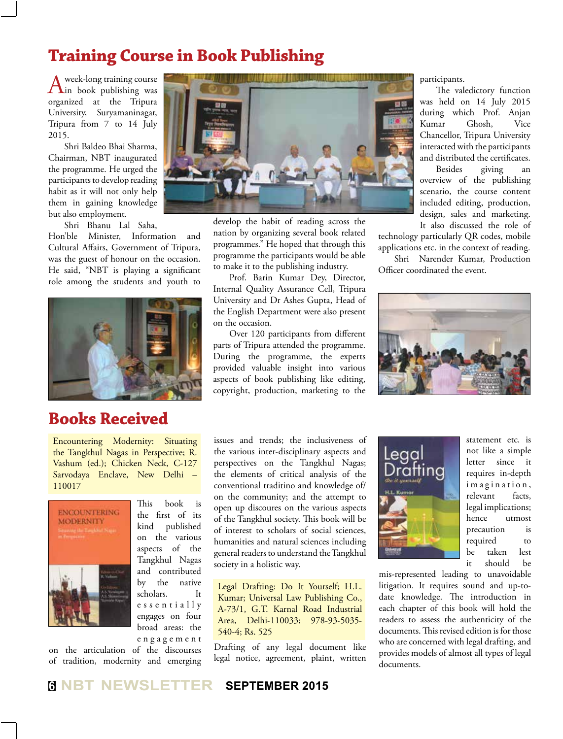## **Training Course in Book Publishing**

A week-long training course<br>
in book publishing was<br>
in the distribution of the distribution of the distribution of the distribution of the distribution of the distribution of the distribution of the distribution of the di organized at the Tripura University, Suryamaninagar, Tripura from 7 to 14 July 2015.

Shri Baldeo Bhai Sharma, Chairman, NBT inaugurated the programme. He urged the participants to develop reading habit as it will not only help them in gaining knowledge but also employment.

Shri Bhanu Lal Saha,

Hon'ble Minister, Information and Cultural Affairs, Government of Tripura, was the guest of honour on the occasion. He said, "NBT is playing a significant role among the students and youth to



## **Books Received**

Encountering Modernity: Situating the Tangkhul Nagas in Perspective; R. Vashum (ed.); Chicken Neck, C-127 Sarvodaya Enclave, New Delhi – 110017



This book is the first of its kind published on the various aspects of the Tangkhul Nagas and contributed by the native scholars. It e s s e n t i a l l y engages on four broad areas: the e n g a g e m e n t

on the articulation of the discourses of tradition, modernity and emerging



develop the habit of reading across the nation by organizing several book related programmes." He hoped that through this programme the participants would be able to make it to the publishing industry.

Prof. Barin Kumar Dey, Director, Internal Quality Assurance Cell, Tripura University and Dr Ashes Gupta, Head of the English Department were also present on the occasion.

Over 120 participants from different parts of Tripura attended the programme. During the programme, the experts provided valuable insight into various aspects of book publishing like editing, copyright, production, marketing to the

participants.

The valedictory function was held on 14 July 2015 during which Prof. Anjan Kumar Ghosh, Vice Chancellor, Tripura University interacted with the participants and distributed the certificates.

Besides giving an overview of the publishing scenario, the course content included editing, production, design, sales and marketing. It also discussed the role of

technology particularly QR codes, mobile applications etc. in the context of reading.

Shri Narender Kumar, Production Officer coordinated the event.



issues and trends; the inclusiveness of the various inter-disciplinary aspects and perspectives on the Tangkhul Nagas; the elements of critical analysis of the conventional traditino and knowledge of/ on the community; and the attempt to open up discoures on the various aspects of the Tangkhul society. This book will be of interest to scholars of social sciences, humanities and natural sciences including general readers to understand the Tangkhul society in a holistic way.

Legal Drafting: Do It Yourself; H.L. Kumar; Universal Law Publishing Co., A-73/1, G.T. Karnal Road Industrial Area, Delhi-110033; 978-93-5035- 540-4; Rs. 525

Drafting of any legal document like legal notice, agreement, plaint, written



statement etc. is not like a simple letter since it requires in-depth imagination, relevant facts, legal implications; hence utmost precaution is required to be taken lest it should be

mis-represented leading to unavoidable litigation. It requires sound and up-todate knowledge. The introduction in each chapter of this book will hold the readers to assess the authenticity of the documents. This revised edition is for those who are concerned with legal drafting, and provides models of almost all types of legal documents.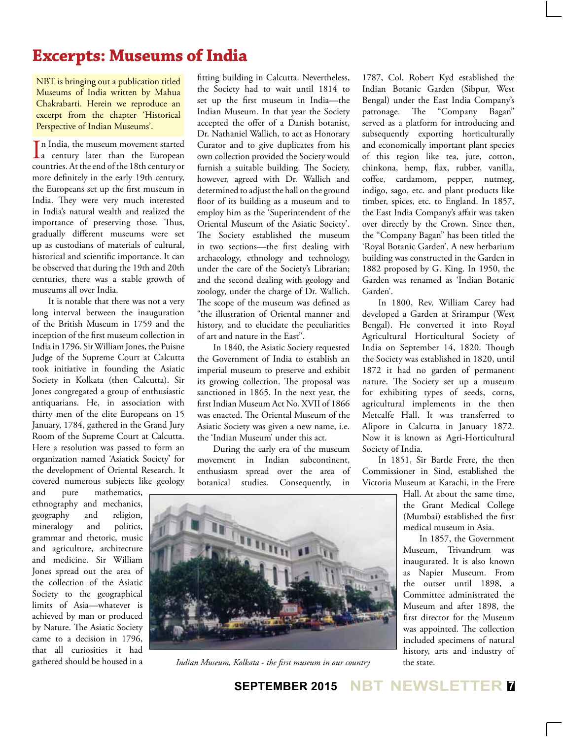## **Excerpts: Museums of India**

NBT is bringing out a publication titled Museums of India written by Mahua Chakrabarti. Herein we reproduce an excerpt from the chapter 'Historical Perspective of Indian Museums'.

In India, the museum movement started<br>a century later than the European n India, the museum movement started countries. At the end of the 18th century or more definitely in the early 19th century, the Europeans set up the first museum in India. They were very much interested in India's natural wealth and realized the importance of preserving those. Thus, gradually different museums were set up as custodians of materials of cultural, historical and scientific importance. It can be observed that during the 19th and 20th centuries, there was a stable growth of museums all over India.

It is notable that there was not a very long interval between the inauguration of the British Museum in 1759 and the inception of the first museum collection in India in 1796. Sir William Jones, the Puisne Judge of the Supreme Court at Calcutta took initiative in founding the Asiatic Society in Kolkata (then Calcutta). Sir Jones congregated a group of enthusiastic antiquarians. He, in association with thirty men of the elite Europeans on 15 January, 1784, gathered in the Grand Jury Room of the Supreme Court at Calcutta. Here a resolution was passed to form an organization named 'Asiatick Society' for the development of Oriental Research. It covered numerous subjects like geology

and pure mathematics, ethnography and mechanics, geography and religion, mineralogy and politics, grammar and rhetoric, music and agriculture, architecture and medicine. Sir William Jones spread out the area of the collection of the Asiatic Society to the geographical limits of Asia—whatever is achieved by man or produced by Nature. The Asiatic Society came to a decision in 1796, that all curiosities it had gathered should be housed in a

fitting building in Calcutta. Nevertheless, the Society had to wait until 1814 to set up the first museum in India—the Indian Museum. In that year the Society accepted the offer of a Danish botanist, Dr. Nathaniel Wallich, to act as Honorary Curator and to give duplicates from his own collection provided the Society would furnish a suitable building. The Society, however, agreed with Dr. Wallich and determined to adjust the hall on the ground floor of its building as a museum and to employ him as the 'Superintendent of the Oriental Museum of the Asiatic Society'. The Society established the museum in two sections—the first dealing with archaeology, ethnology and technology, under the care of the Society's Librarian; and the second dealing with geology and zoology, under the charge of Dr. Wallich. The scope of the museum was defined as "the illustration of Oriental manner and history, and to elucidate the peculiarities of art and nature in the East".

In 1840, the Asiatic Society requested the Government of India to establish an imperial museum to preserve and exhibit its growing collection. The proposal was sanctioned in 1865. In the next year, the first Indian Museum Act No. XVII of 1866 was enacted. The Oriental Museum of the Asiatic Society was given a new name, i.e. the 'Indian Museum' under this act.

During the early era of the museum movement in Indian subcontinent, enthusiasm spread over the area of botanical studies. Consequently, in 1787, Col. Robert Kyd established the Indian Botanic Garden (Sibpur, West Bengal) under the East India Company's patronage. The "Company Bagan" served as a platform for introducing and subsequently exporting horticulturally and economically important plant species of this region like tea, jute, cotton, chinkona, hemp, flax, rubber, vanilla, coffee, cardamom, pepper, nutmeg, indigo, sago, etc. and plant products like timber, spices, etc. to England. In 1857, the East India Company's affair was taken over directly by the Crown. Since then, the "Company Bagan" has been titled the 'Royal Botanic Garden'. A new herbarium building was constructed in the Garden in 1882 proposed by G. King. In 1950, the Garden was renamed as 'Indian Botanic Garden'.

In 1800, Rev. William Carey had developed a Garden at Srirampur (West Bengal). He converted it into Royal Agricultural Horticultural Society of India on September 14, 1820. Though the Society was established in 1820, until 1872 it had no garden of permanent nature. The Society set up a museum for exhibiting types of seeds, corns, agricultural implements in the then Metcalfe Hall. It was transferred to Alipore in Calcutta in January 1872. Now it is known as Agri-Horticultural Society of India.

In 1851, Sir Bartle Frere, the then Commissioner in Sind, established the Victoria Museum at Karachi, in the Frere

> Hall. At about the same time, the Grant Medical College (Mumbai) established the first medical museum in Asia.

> In 1857, the Government Museum, Trivandrum was inaugurated. It is also known as Napier Museum. From the outset until 1898, a Committee administrated the Museum and after 1898, the first director for the Museum was appointed. The collection included specimens of natural history, arts and industry of the state.



*Indian Museum, Kolkata - the first museum in our country*